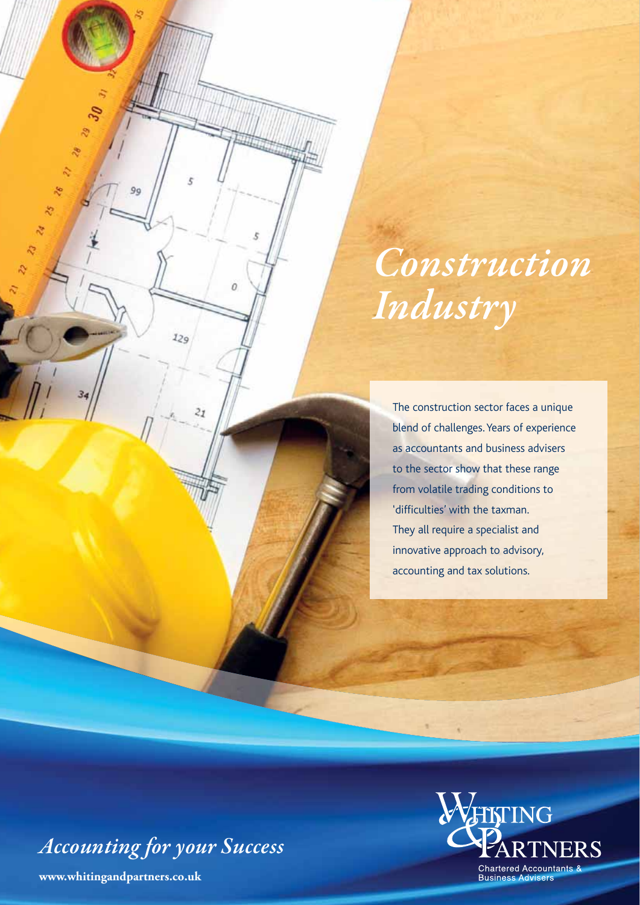# *Construction Industry*

The construction sector faces a unique blend of challenges. Years of experience as accountants and business advisers to the sector show that these range from volatile trading conditions to 'difficulties' with the taxman. They all require a specialist and innovative approach to advisory, accounting and tax solutions.

*Accounting for your Success*

**www.whitingandpartners.co.uk**

90

Ł

 $\overline{O}$ 

 $129$ 

 $\overline{z_1}$